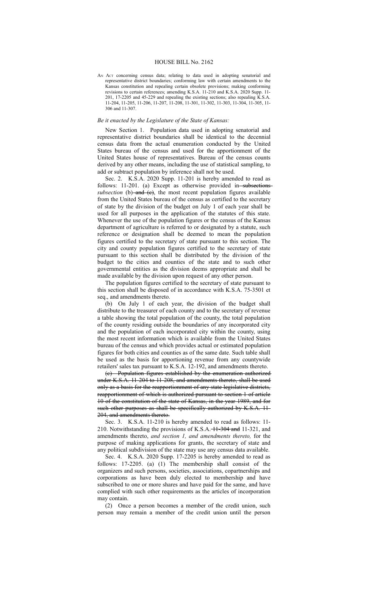## HOUSE BILL No. 2162

AN ACT concerning census data; relating to data used in adopting senatorial and representative district boundaries; conforming law with certain amendments to the Kansas constitution and repealing certain obsolete provisions; making conforming revisions to certain references; amending K.S.A. 11-210 and K.S.A. 2020 Supp. 11- 201, 17-2205 and 45-229 and repealing the existing sections; also repealing K.S.A. 11-204, 11-205, 11-206, 11-207, 11-208, 11-301, 11-302, 11-303, 11-304, 11-305, 11- 306 and 11-307.

## *Be it enacted by the Legislature of the State of Kansas:*

New Section 1. Population data used in adopting senatorial and representative district boundaries shall be identical to the decennial census data from the actual enumeration conducted by the United States bureau of the census and used for the apportionment of the United States house of representatives. Bureau of the census counts derived by any other means, including the use of statistical sampling, to add or subtract population by inference shall not be used.

Sec. 2. K.S.A. 2020 Supp. 11-201 is hereby amended to read as follows: 11-201. (a) Except as otherwise provided in subsections  $subsection$  (b)- $and$  (e), the most recent population figures available from the United States bureau of the census as certified to the secretary of state by the division of the budget on July 1 of each year shall be used for all purposes in the application of the statutes of this state. Whenever the use of the population figures or the census of the Kansas department of agriculture is referred to or designated by a statute, such reference or designation shall be deemed to mean the population figures certified to the secretary of state pursuant to this section. The city and county population figures certified to the secretary of state pursuant to this section shall be distributed by the division of the budget to the cities and counties of the state and to such other governmental entities as the division deems appropriate and shall be made available by the division upon request of any other person.

The population figures certified to the secretary of state pursuant to this section shall be disposed of in accordance with K.S.A. 75-3501 et seq., and amendments thereto.

(b) On July 1 of each year, the division of the budget shall distribute to the treasurer of each county and to the secretary of revenue a table showing the total population of the county, the total population of the county residing outside the boundaries of any incorporated city and the population of each incorporated city within the county, using the most recent information which is available from the United States bureau of the census and which provides actual or estimated population figures for both cities and counties as of the same date. Such table shall be used as the basis for apportioning revenue from any countywide retailers' sales tax pursuant to K.S.A. 12-192, and amendments thereto.

(c) Population figures established by the enumeration authorized under K.S.A. 11-204 to 11-208, and amendments thereto, shall be used only as a basis for the reapportionment of any state legislative districts, reapportionment of which is authorized pursuant to section 1 of article 10 of the constitution of the state of Kansas, in the year 1989, and for such other purposes as shall be specifically authorized by K.S.A. 11-204, and amendments thereto.

Sec. 3. K.S.A. 11-210 is hereby amended to read as follows: 11- 210. Notwithstanding the provisions of K.S.A.  $-11-304$  and 11-321, and amendments thereto, *and section 1, and amendments thereto,* for the purpose of making applications for grants, the secretary of state and any political subdivision of the state may use any census data available.

Sec. 4. K.S.A. 2020 Supp. 17-2205 is hereby amended to read as follows: 17-2205. (a) (1) The membership shall consist of the organizers and such persons, societies, associations, copartnerships and corporations as have been duly elected to membership and have subscribed to one or more shares and have paid for the same, and have complied with such other requirements as the articles of incorporation may contain.

(2) Once a person becomes a member of the credit union, such person may remain a member of the credit union until the person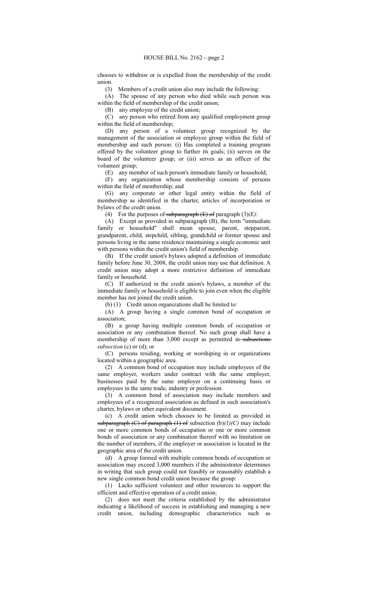chooses to withdraw or is expelled from the membership of the credit union.

(3) Members of a credit union also may include the following:

(A) The spouse of any person who died while such person was within the field of membership of the credit union;

(B) any employee of the credit union;

(C) any person who retired from any qualified employment group within the field of membership;

(D) any person of a volunteer group recognized by the management of the association or employee group within the field of membership and such person: (i) Has completed a training program offered by the volunteer group to further its goals; (ii) serves on the board of the volunteer group; or (iii) serves as an officer of the volunteer group;

(E) any member of such person's immediate family or household;

(F) any organization whose membership consists of persons within the field of membership; and

(G) any corporate or other legal entity within the field of membership as identified in the charter, articles of incorporation or bylaws of the credit union.

(4) For the purposes of subparagraph (E) of paragraph (3)*(E)*:

(A) Except as provided in subparagraph (B), the term "immediate family or household" shall mean spouse, parent, stepparent, grandparent, child, stepchild, sibling, grandchild or former spouse and persons living in the same residence maintaining a single economic unit with persons within the credit union's field of membership.

(B) If the credit union's bylaws adopted a definition of immediate family before June 30, 2008, the credit union may use that definition. A credit union may adopt a more restrictive definition of immediate family or household.

(C) If authorized in the credit union's bylaws, a member of the immediate family or household is eligible to join even when the eligible member has not joined the credit union.

(b) (1) Credit union organizations shall be limited to:

(A) A group having a single common bond of occupation or association;

(B) a group having multiple common bonds of occupation or association or any combination thereof. No such group shall have a membership of more than 3,000 except as permitted in-subsections *subsection* (c) or (d); or

(C) persons residing, working or worshiping in or organizations located within a geographic area.

(2) A common bond of occupation may include employees of the same employer, workers under contract with the same employer, businesses paid by the same employer on a continuing basis or employees in the same trade, industry or profession.

(3) A common bond of association may include members and employees of a recognized association as defined in such association's charter, bylaws or other equivalent document.

(c) A credit union which chooses to be limited as provided in subparagraph (C) of paragraph (1) of subsection (b)*(1)(C)* may include one or more common bonds of occupation or one or more common bonds of association or any combination thereof with no limitation on the number of members, if the employer or association is located in the geographic area of the credit union.

(d) A group formed with multiple common bonds of occupation or association may exceed 3,000 members if the administrator determines in writing that such group could not feasibly or reasonably establish a new single common bond credit union because the group:

(1) Lacks sufficient volunteer and other resources to support the efficient and effective operation of a credit union;

(2) does not meet the criteria established by the administrator indicating a likelihood of success in establishing and managing a new credit union, including demographic characteristics such as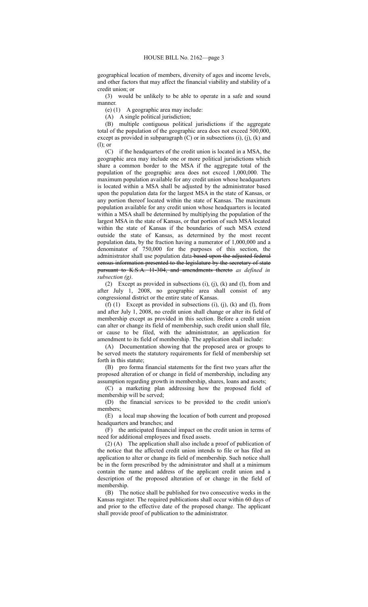geographical location of members, diversity of ages and income levels, and other factors that may affect the financial viability and stability of a credit union; or

(3) would be unlikely to be able to operate in a safe and sound manner.

(e) (1) A geographic area may include:

(A) A single political jurisdiction;

(B) multiple contiguous political jurisdictions if the aggregate total of the population of the geographic area does not exceed 500,000, except as provided in subparagraph  $(C)$  or in subsections  $(i)$ ,  $(i)$ ,  $(k)$  and (l); or

(C) if the headquarters of the credit union is located in a MSA, the geographic area may include one or more political jurisdictions which share a common border to the MSA if the aggregate total of the population of the geographic area does not exceed 1,000,000. The maximum population available for any credit union whose headquarters is located within a MSA shall be adjusted by the administrator based upon the population data for the largest MSA in the state of Kansas, or any portion thereof located within the state of Kansas. The maximum population available for any credit union whose headquarters is located within a MSA shall be determined by multiplying the population of the largest MSA in the state of Kansas, or that portion of such MSA located within the state of Kansas if the boundaries of such MSA extend outside the state of Kansas, as determined by the most recent population data, by the fraction having a numerator of 1,000,000 and a denominator of 750,000 for the purposes of this section, the administrator shall use population data-based upon the adjusted federal census information presented to the legislature by the secretary of state pursuant to K.S.A. 11-304, and amendments thereto *as defined in subsection (g)*.

(2) Except as provided in subsections (i), (j), (k) and (l), from and after July 1, 2008, no geographic area shall consist of any congressional district or the entire state of Kansas.

 $(f)$   $(1)$  Except as provided in subsections  $(i)$ ,  $(j)$ ,  $(k)$  and  $(l)$ , from and after July 1, 2008, no credit union shall change or alter its field of membership except as provided in this section. Before a credit union can alter or change its field of membership, such credit union shall file, or cause to be filed, with the administrator, an application for amendment to its field of membership. The application shall include:

(A) Documentation showing that the proposed area or groups to be served meets the statutory requirements for field of membership set forth in this statute;

(B) pro forma financial statements for the first two years after the proposed alteration of or change in field of membership, including any assumption regarding growth in membership, shares, loans and assets;

(C) a marketing plan addressing how the proposed field of membership will be served;

(D) the financial services to be provided to the credit union's members;

(E) a local map showing the location of both current and proposed headquarters and branches; and

(F) the anticipated financial impact on the credit union in terms of need for additional employees and fixed assets.

(2) (A) The application shall also include a proof of publication of the notice that the affected credit union intends to file or has filed an application to alter or change its field of membership. Such notice shall be in the form prescribed by the administrator and shall at a minimum contain the name and address of the applicant credit union and a description of the proposed alteration of or change in the field of membership.

(B) The notice shall be published for two consecutive weeks in the Kansas register. The required publications shall occur within 60 days of and prior to the effective date of the proposed change. The applicant shall provide proof of publication to the administrator.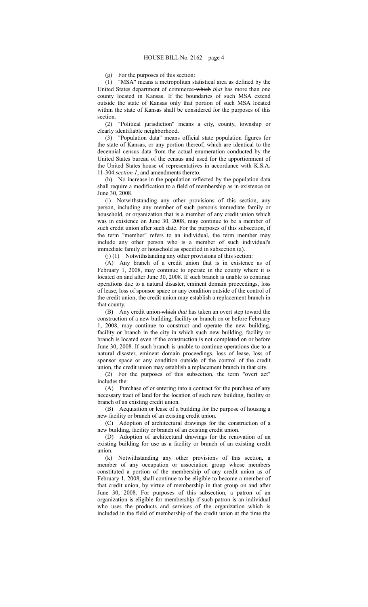(g) For the purposes of this section:

(1) "MSA" means a metropolitan statistical area as defined by the United States department of commerce which *that* has more than one county located in Kansas. If the boundaries of such MSA extend outside the state of Kansas only that portion of such MSA located within the state of Kansas shall be considered for the purposes of this section.

(2) "Political jurisdiction" means a city, county, township or clearly identifiable neighborhood.

(3) "Population data" means official state population figures for the state of Kansas, or any portion thereof, which are identical to the decennial census data from the actual enumeration conducted by the United States bureau of the census and used for the apportionment of the United States house of representatives in accordance with K.S.A. 11-304 *section 1*, and amendments thereto.

(h) No increase in the population reflected by the population data shall require a modification to a field of membership as in existence on June 30, 2008.

(i) Notwithstanding any other provisions of this section, any person, including any member of such person's immediate family or household, or organization that is a member of any credit union which was in existence on June 30, 2008, may continue to be a member of such credit union after such date. For the purposes of this subsection, if the term "member" refers to an individual, the term member may include any other person who is a member of such individual's immediate family or household as specified in subsection (a).

(j) (1) Notwithstanding any other provisions of this section:

(A) Any branch of a credit union that is in existence as of February 1, 2008, may continue to operate in the county where it is located on and after June 30, 2008. If such branch is unable to continue operations due to a natural disaster, eminent domain proceedings, loss of lease, loss of sponsor space or any condition outside of the control of the credit union, the credit union may establish a replacement branch in that county.

(B) Any credit union which *that* has taken an overt step toward the construction of a new building, facility or branch on or before February 1, 2008, may continue to construct and operate the new building, facility or branch in the city in which such new building, facility or branch is located even if the construction is not completed on or before June 30, 2008. If such branch is unable to continue operations due to a natural disaster, eminent domain proceedings, loss of lease, loss of sponsor space or any condition outside of the control of the credit union, the credit union may establish a replacement branch in that city.

(2) For the purposes of this subsection, the term "overt act" includes the:

(A) Purchase of or entering into a contract for the purchase of any necessary tract of land for the location of such new building, facility or branch of an existing credit union.

(B) Acquisition or lease of a building for the purpose of housing a new facility or branch of an existing credit union.

(C) Adoption of architectural drawings for the construction of a new building, facility or branch of an existing credit union.

(D) Adoption of architectural drawings for the renovation of an existing building for use as a facility or branch of an existing credit union.

(k) Notwithstanding any other provisions of this section, a member of any occupation or association group whose members constituted a portion of the membership of any credit union as of February 1, 2008, shall continue to be eligible to become a member of that credit union, by virtue of membership in that group on and after June 30, 2008. For purposes of this subsection, a patron of an organization is eligible for membership if such patron is an individual who uses the products and services of the organization which is included in the field of membership of the credit union at the time the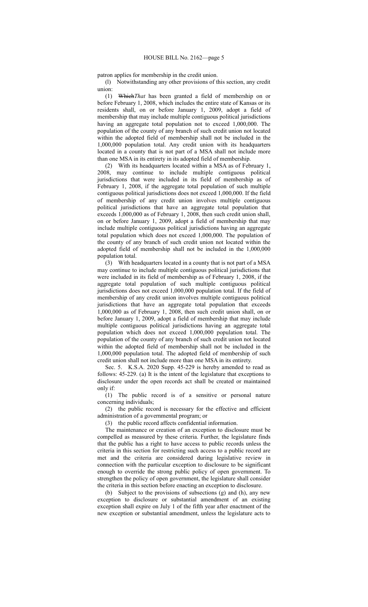patron applies for membership in the credit union.

(l) Notwithstanding any other provisions of this section, any credit union:

(1) Which*That* has been granted a field of membership on or before February 1, 2008, which includes the entire state of Kansas or its residents shall, on or before January 1, 2009, adopt a field of membership that may include multiple contiguous political jurisdictions having an aggregate total population not to exceed 1,000,000. The population of the county of any branch of such credit union not located within the adopted field of membership shall not be included in the 1,000,000 population total. Any credit union with its headquarters located in a county that is not part of a MSA shall not include more than one MSA in its entirety in its adopted field of membership.

(2) With its headquarters located within a MSA as of February 1, 2008, may continue to include multiple contiguous political jurisdictions that were included in its field of membership as of February 1, 2008, if the aggregate total population of such multiple contiguous political jurisdictions does not exceed 1,000,000. If the field of membership of any credit union involves multiple contiguous political jurisdictions that have an aggregate total population that exceeds 1,000,000 as of February 1, 2008, then such credit union shall, on or before January 1, 2009, adopt a field of membership that may include multiple contiguous political jurisdictions having an aggregate total population which does not exceed 1,000,000. The population of the county of any branch of such credit union not located within the adopted field of membership shall not be included in the 1,000,000 population total.

(3) With headquarters located in a county that is not part of a MSA may continue to include multiple contiguous political jurisdictions that were included in its field of membership as of February 1, 2008, if the aggregate total population of such multiple contiguous political jurisdictions does not exceed 1,000,000 population total. If the field of membership of any credit union involves multiple contiguous political jurisdictions that have an aggregate total population that exceeds 1,000,000 as of February 1, 2008, then such credit union shall, on or before January 1, 2009, adopt a field of membership that may include multiple contiguous political jurisdictions having an aggregate total population which does not exceed 1,000,000 population total. The population of the county of any branch of such credit union not located within the adopted field of membership shall not be included in the 1,000,000 population total. The adopted field of membership of such credit union shall not include more than one MSA in its entirety.

Sec. 5. K.S.A. 2020 Supp. 45-229 is hereby amended to read as follows: 45-229. (a) It is the intent of the legislature that exceptions to disclosure under the open records act shall be created or maintained only if:

(1) The public record is of a sensitive or personal nature concerning individuals;

(2) the public record is necessary for the effective and efficient administration of a governmental program; or

(3) the public record affects confidential information.

The maintenance or creation of an exception to disclosure must be compelled as measured by these criteria. Further, the legislature finds that the public has a right to have access to public records unless the criteria in this section for restricting such access to a public record are met and the criteria are considered during legislative review in connection with the particular exception to disclosure to be significant enough to override the strong public policy of open government. To strengthen the policy of open government, the legislature shall consider the criteria in this section before enacting an exception to disclosure.

(b) Subject to the provisions of subsections (g) and (h), any new exception to disclosure or substantial amendment of an existing exception shall expire on July 1 of the fifth year after enactment of the new exception or substantial amendment, unless the legislature acts to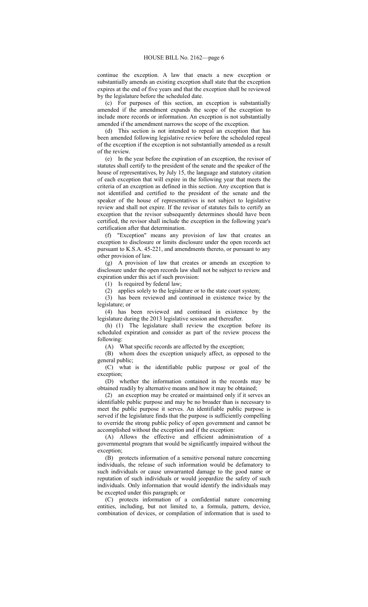continue the exception. A law that enacts a new exception or substantially amends an existing exception shall state that the exception expires at the end of five years and that the exception shall be reviewed by the legislature before the scheduled date.

(c) For purposes of this section, an exception is substantially amended if the amendment expands the scope of the exception to include more records or information. An exception is not substantially amended if the amendment narrows the scope of the exception.

(d) This section is not intended to repeal an exception that has been amended following legislative review before the scheduled repeal of the exception if the exception is not substantially amended as a result of the review.

(e) In the year before the expiration of an exception, the revisor of statutes shall certify to the president of the senate and the speaker of the house of representatives, by July 15, the language and statutory citation of each exception that will expire in the following year that meets the criteria of an exception as defined in this section. Any exception that is not identified and certified to the president of the senate and the speaker of the house of representatives is not subject to legislative review and shall not expire. If the revisor of statutes fails to certify an exception that the revisor subsequently determines should have been certified, the revisor shall include the exception in the following year's certification after that determination.

(f) "Exception" means any provision of law that creates an exception to disclosure or limits disclosure under the open records act pursuant to K.S.A. 45-221, and amendments thereto, or pursuant to any other provision of law.

(g) A provision of law that creates or amends an exception to disclosure under the open records law shall not be subject to review and expiration under this act if such provision:

(1) Is required by federal law;

(2) applies solely to the legislature or to the state court system;

(3) has been reviewed and continued in existence twice by the legislature; or

(4) has been reviewed and continued in existence by the legislature during the 2013 legislative session and thereafter.

(h) (1) The legislature shall review the exception before its scheduled expiration and consider as part of the review process the following:

(A) What specific records are affected by the exception;

(B) whom does the exception uniquely affect, as opposed to the general public;

(C) what is the identifiable public purpose or goal of the exception;

(D) whether the information contained in the records may be obtained readily by alternative means and how it may be obtained;

(2) an exception may be created or maintained only if it serves an identifiable public purpose and may be no broader than is necessary to meet the public purpose it serves. An identifiable public purpose is served if the legislature finds that the purpose is sufficiently compelling to override the strong public policy of open government and cannot be accomplished without the exception and if the exception:

(A) Allows the effective and efficient administration of a governmental program that would be significantly impaired without the exception;

(B) protects information of a sensitive personal nature concerning individuals, the release of such information would be defamatory to such individuals or cause unwarranted damage to the good name or reputation of such individuals or would jeopardize the safety of such individuals. Only information that would identify the individuals may be excepted under this paragraph; or

(C) protects information of a confidential nature concerning entities, including, but not limited to, a formula, pattern, device, combination of devices, or compilation of information that is used to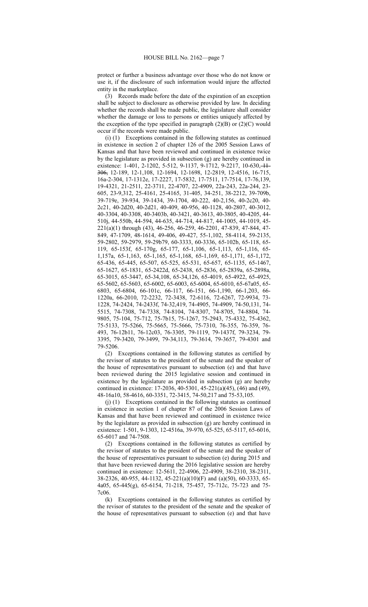protect or further a business advantage over those who do not know or use it, if the disclosure of such information would injure the affected entity in the marketplace.

(3) Records made before the date of the expiration of an exception shall be subject to disclosure as otherwise provided by law. In deciding whether the records shall be made public, the legislature shall consider whether the damage or loss to persons or entities uniquely affected by the exception of the type specified in paragraph  $(2)(B)$  or  $(2)(C)$  would occur if the records were made public.

(i) (1) Exceptions contained in the following statutes as continued in existence in section 2 of chapter 126 of the 2005 Session Laws of Kansas and that have been reviewed and continued in existence twice by the legislature as provided in subsection (g) are hereby continued in existence: 1-401, 2-1202, 5-512, 9-1137, 9-1712, 9-2217, 10-630, 11-306, 12-189, 12-1,108, 12-1694, 12-1698, 12-2819, 12-4516, 16-715, 16a-2-304, 17-1312e, 17-2227, 17-5832, 17-7511, 17-7514, 17-76,139, 19-4321, 21-2511, 22-3711, 22-4707, 22-4909, 22a-243, 22a-244, 23- 605, 23-9,312, 25-4161, 25-4165, 31-405, 34-251, 38-2212, 39-709b, 39-719e, 39-934, 39-1434, 39-1704, 40-222, 40-2,156, 40-2c20, 40- 2c21, 40-2d20, 40-2d21, 40-409, 40-956, 40-1128, 40-2807, 40-3012, 40-3304, 40-3308, 40-3403b, 40-3421, 40-3613, 40-3805, 40-4205, 44- 510j, 44-550b, 44-594, 44-635, 44-714, 44-817, 44-1005, 44-1019, 45- 221(a)(1) through (43), 46-256, 46-259, 46-2201, 47-839, 47-844, 47- 849, 47-1709, 48-1614, 49-406, 49-427, 55-1,102, 58-4114, 59-2135, 59-2802, 59-2979, 59-29b79, 60-3333, 60-3336, 65-102b, 65-118, 65- 119, 65-153f, 65-170g, 65-177, 65-1,106, 65-1,113, 65-1,116, 65- 1,157a, 65-1,163, 65-1,165, 65-1,168, 65-1,169, 65-1,171, 65-1,172, 65-436, 65-445, 65-507, 65-525, 65-531, 65-657, 65-1135, 65-1467, 65-1627, 65-1831, 65-2422d, 65-2438, 65-2836, 65-2839a, 65-2898a, 65-3015, 65-3447, 65-34,108, 65-34,126, 65-4019, 65-4922, 65-4925, 65-5602, 65-5603, 65-6002, 65-6003, 65-6004, 65-6010, 65-67a05, 65- 6803, 65-6804, 66-101c, 66-117, 66-151, 66-1,190, 66-1,203, 66- 1220a, 66-2010, 72-2232, 72-3438, 72-6116, 72-6267, 72-9934, 73- 1228, 74-2424, 74-2433f, 74-32,419, 74-4905, 74-4909, 74-50,131, 74- 5515, 74-7308, 74-7338, 74-8104, 74-8307, 74-8705, 74-8804, 74- 9805, 75-104, 75-712, 75-7b15, 75-1267, 75-2943, 75-4332, 75-4362, 75-5133, 75-5266, 75-5665, 75-5666, 75-7310, 76-355, 76-359, 76- 493, 76-12b11, 76-12c03, 76-3305, 79-1119, 79-1437f, 79-3234, 79- 3395, 79-3420, 79-3499, 79-34,113, 79-3614, 79-3657, 79-4301 and 79-5206.

(2) Exceptions contained in the following statutes as certified by the revisor of statutes to the president of the senate and the speaker of the house of representatives pursuant to subsection (e) and that have been reviewed during the 2015 legislative session and continued in existence by the legislature as provided in subsection (g) are hereby continued in existence: 17-2036, 40-5301, 45-221(a)(45), (46) and (49), 48-16a10, 58-4616, 60-3351, 72-3415, 74-50,217 and 75-53,105.

(j) (1) Exceptions contained in the following statutes as continued in existence in section 1 of chapter 87 of the 2006 Session Laws of Kansas and that have been reviewed and continued in existence twice by the legislature as provided in subsection (g) are hereby continued in existence: 1-501, 9-1303, 12-4516a, 39-970, 65-525, 65-5117, 65-6016, 65-6017 and 74-7508.

(2) Exceptions contained in the following statutes as certified by the revisor of statutes to the president of the senate and the speaker of the house of representatives pursuant to subsection (e) during 2015 and that have been reviewed during the 2016 legislative session are hereby continued in existence: 12-5611, 22-4906, 22-4909, 38-2310, 38-2311, 38-2326, 40-955, 44-1132, 45-221(a)(10)(F) and (a)(50), 60-3333, 65- 4a05, 65-445(g), 65-6154, 71-218, 75-457, 75-712c, 75-723 and 75- 7c06.

(k) Exceptions contained in the following statutes as certified by the revisor of statutes to the president of the senate and the speaker of the house of representatives pursuant to subsection (e) and that have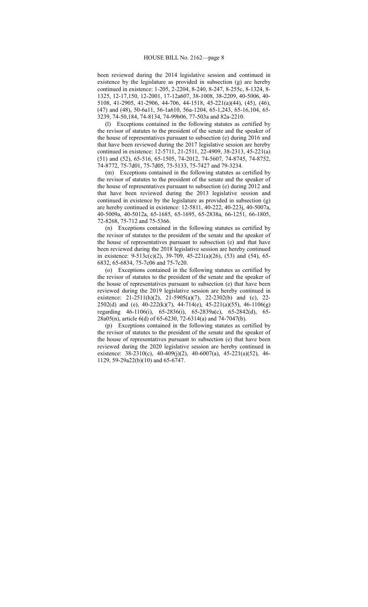been reviewed during the 2014 legislative session and continued in existence by the legislature as provided in subsection (g) are hereby continued in existence: 1-205, 2-2204, 8-240, 8-247, 8-255c, 8-1324, 8- 1325, 12-17,150, 12-2001, 17-12a607, 38-1008, 38-2209, 40-5006, 40- 5108, 41-2905, 41-2906, 44-706, 44-1518, 45-221(a)(44), (45), (46), (47) and (48), 50-6a11, 56-1a610, 56a-1204, 65-1,243, 65-16,104, 65- 3239, 74-50,184, 74-8134, 74-99b06, 77-503a and 82a-2210.

(l) Exceptions contained in the following statutes as certified by the revisor of statutes to the president of the senate and the speaker of the house of representatives pursuant to subsection (e) during 2016 and that have been reviewed during the 2017 legislative session are hereby continued in existence: 12-5711, 21-2511, 22-4909, 38-2313, 45-221(a) (51) and (52), 65-516, 65-1505, 74-2012, 74-5607, 74-8745, 74-8752, 74-8772, 75-7d01, 75-7d05, 75-5133, 75-7427 and 79-3234.

(m) Exceptions contained in the following statutes as certified by the revisor of statutes to the president of the senate and the speaker of the house of representatives pursuant to subsection (e) during 2012 and that have been reviewed during the 2013 legislative session and continued in existence by the legislature as provided in subsection (g) are hereby continued in existence: 12-5811, 40-222, 40-223j, 40-5007a, 40-5009a, 40-5012a, 65-1685, 65-1695, 65-2838a, 66-1251, 66-1805, 72-8268, 75-712 and 75-5366.

(n) Exceptions contained in the following statutes as certified by the revisor of statutes to the president of the senate and the speaker of the house of representatives pursuant to subsection (e) and that have been reviewed during the 2018 legislative session are hereby continued in existence: 9-513c(c)(2), 39-709, 45-221(a)(26), (53) and (54), 65- 6832, 65-6834, 75-7c06 and 75-7c20.

(o) Exceptions contained in the following statutes as certified by the revisor of statutes to the president of the senate and the speaker of the house of representatives pursuant to subsection (e) that have been reviewed during the 2019 legislative session are hereby continued in existence: 21-2511(h)(2), 21-5905(a)(7), 22-2302(b) and (c), 22- 2502(d) and (e), 40-222(k)(7), 44-714(e), 45-221(a)(55), 46-1106(g) regarding 46-1106(i), 65-2836(i), 65-2839a(c), 65-2842(d), 65- 28a05(n), article 6(d) of 65-6230, 72-6314(a) and 74-7047(b).

(p) Exceptions contained in the following statutes as certified by the revisor of statutes to the president of the senate and the speaker of the house of representatives pursuant to subsection (e) that have been reviewed during the 2020 legislative session are hereby continued in existence: 38-2310(c), 40-409(j)(2), 40-6007(a), 45-221(a)(52), 46- 1129, 59-29a22(b)(10) and 65-6747.